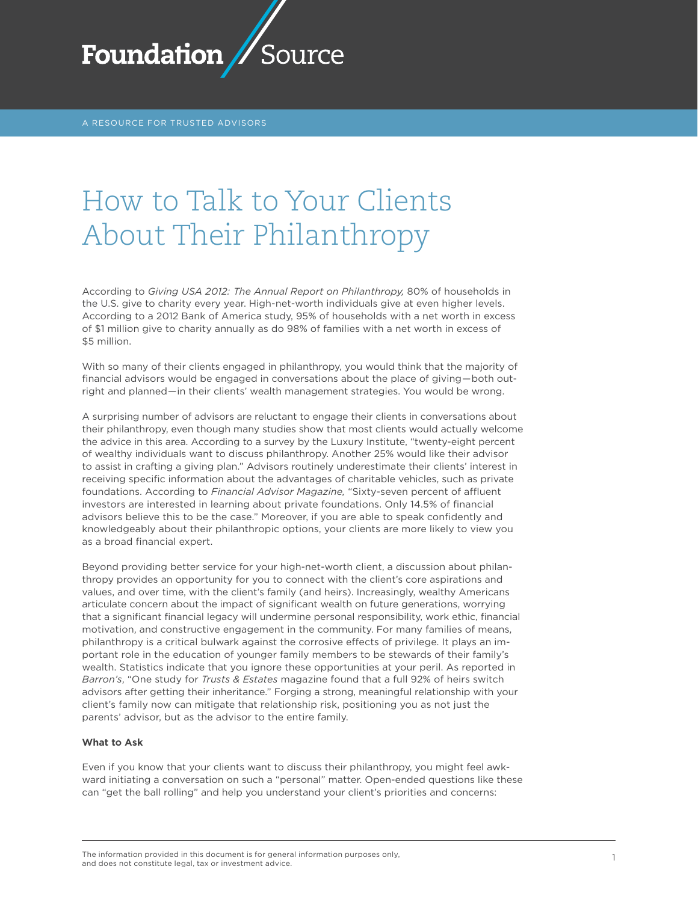

A RESOURCE FOR TRUSTED ADVISORS

# How to Talk to Your Clients About Their Philanthropy

According to *Giving USA 2012: The Annual Report on Philanthropy,* 80% of households in the U.S. give to charity every year. High-net-worth individuals give at even higher levels. According to a 2012 Bank of America study, 95% of households with a net worth in excess of \$1 million give to charity annually as do 98% of families with a net worth in excess of \$5 million.

With so many of their clients engaged in philanthropy, you would think that the majority of financial advisors would be engaged in conversations about the place of giving—both outright and planned—in their clients' wealth management strategies. You would be wrong.

A surprising number of advisors are reluctant to engage their clients in conversations about their philanthropy, even though many studies show that most clients would actually welcome the advice in this area. According to a survey by the Luxury Institute, "twenty-eight percent of wealthy individuals want to discuss philanthropy. Another 25% would like their advisor to assist in crafting a giving plan." Advisors routinely underestimate their clients' interest in receiving specific information about the advantages of charitable vehicles, such as private foundations. According to *Financial Advisor Magazine,* "Sixty-seven percent of affluent investors are interested in learning about private foundations. Only 14.5% of financial advisors believe this to be the case." Moreover, if you are able to speak confidently and knowledgeably about their philanthropic options, your clients are more likely to view you as a broad financial expert.

Beyond providing better service for your high-net-worth client, a discussion about philanthropy provides an opportunity for you to connect with the client's core aspirations and values, and over time, with the client's family (and heirs). Increasingly, wealthy Americans articulate concern about the impact of significant wealth on future generations, worrying that a significant financial legacy will undermine personal responsibility, work ethic, financial motivation, and constructive engagement in the community. For many families of means, philanthropy is a critical bulwark against the corrosive effects of privilege. It plays an important role in the education of younger family members to be stewards of their family's wealth. Statistics indicate that you ignore these opportunities at your peril. As reported in *Barron's*, "One study for *Trusts & Estates* magazine found that a full 92% of heirs switch advisors after getting their inheritance." Forging a strong, meaningful relationship with your client's family now can mitigate that relationship risk, positioning you as not just the parents' advisor, but as the advisor to the entire family.

### **What to Ask**

Even if you know that your clients want to discuss their philanthropy, you might feel awkward initiating a conversation on such a "personal" matter. Open-ended questions like these can "get the ball rolling" and help you understand your client's priorities and concerns:

The information provided in this document is for general information purposes only, The information provided in this document is for general information purposes only, the interest of the state o<br>and does not constitute legal, tax or investment advice.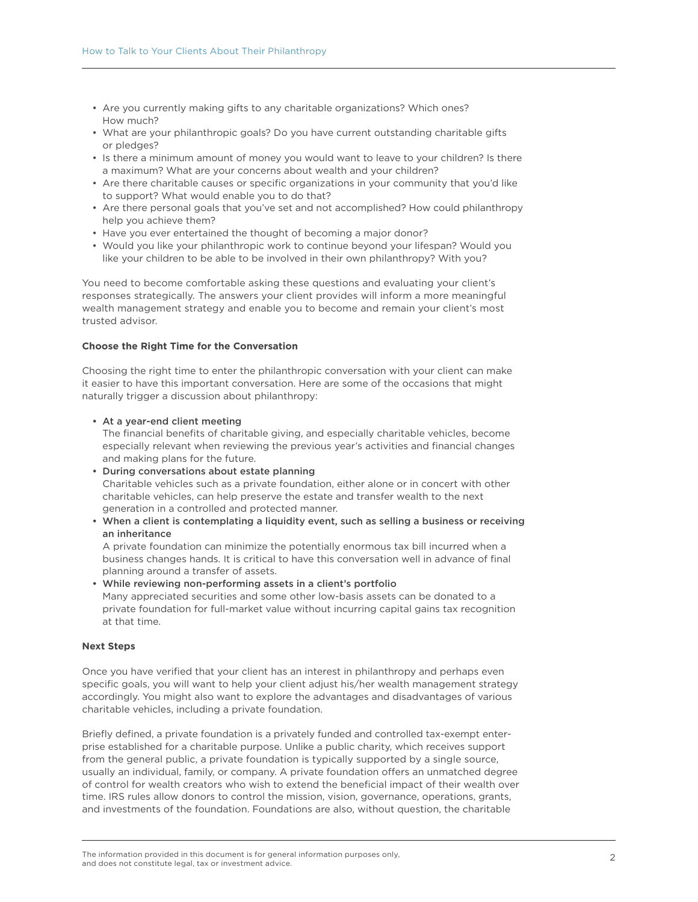- • Are you currently making gifts to any charitable organizations? Which ones? How much?
- • What are your philanthropic goals? Do you have current outstanding charitable gifts or pledges?
- Is there a minimum amount of money you would want to leave to your children? Is there a maximum? What are your concerns about wealth and your children?
- • Are there charitable causes or specific organizations in your community that you'd like to support? What would enable you to do that?
- • Are there personal goals that you've set and not accomplished? How could philanthropy help you achieve them?
- Have you ever entertained the thought of becoming a major donor?
- • Would you like your philanthropic work to continue beyond your lifespan? Would you like your children to be able to be involved in their own philanthropy? With you?

You need to become comfortable asking these questions and evaluating your client's responses strategically. The answers your client provides will inform a more meaningful wealth management strategy and enable you to become and remain your client's most trusted advisor.

## **Choose the Right Time for the Conversation**

Choosing the right time to enter the philanthropic conversation with your client can make it easier to have this important conversation. Here are some of the occasions that might naturally trigger a discussion about philanthropy:

• At a year-end client meeting

The financial benefits of charitable giving, and especially charitable vehicles, become especially relevant when reviewing the previous year's activities and financial changes and making plans for the future.

- During conversations about estate planning Charitable vehicles such as a private foundation, either alone or in concert with other charitable vehicles, can help preserve the estate and transfer wealth to the next generation in a controlled and protected manner.
- • When a client is contemplating a liquidity event, such as selling a business or receiving an inheritance

A private foundation can minimize the potentially enormous tax bill incurred when a business changes hands. It is critical to have this conversation well in advance of final planning around a transfer of assets.

• While reviewing non-performing assets in a client's portfolio Many appreciated securities and some other low-basis assets can be donated to a private foundation for full-market value without incurring capital gains tax recognition at that time.

## **Next Steps**

Once you have verified that your client has an interest in philanthropy and perhaps even specific goals, you will want to help your client adjust his/her wealth management strategy accordingly. You might also want to explore the advantages and disadvantages of various charitable vehicles, including a private foundation.

Briefly defined, a private foundation is a privately funded and controlled tax-exempt enterprise established for a charitable purpose. Unlike a public charity, which receives support from the general public, a private foundation is typically supported by a single source, usually an individual, family, or company. A private foundation offers an unmatched degree of control for wealth creators who wish to extend the beneficial impact of their wealth over time. IRS rules allow donors to control the mission, vision, governance, operations, grants, and investments of the foundation. Foundations are also, without question, the charitable

The information provided in this document is for general information purposes only, and does not constitute legal, tax or investment advice.